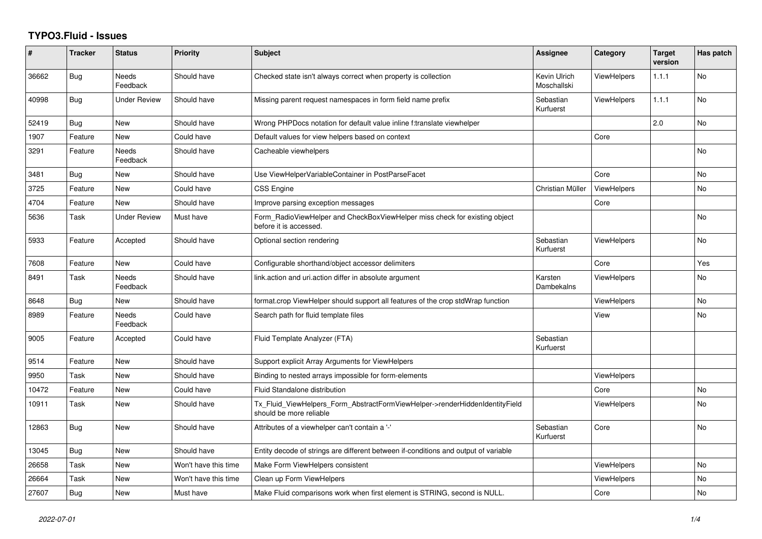## **TYPO3.Fluid - Issues**

| ∦     | <b>Tracker</b> | <b>Status</b>            | <b>Priority</b>      | <b>Subject</b>                                                                                         | Assignee                    | Category           | <b>Target</b><br>version | Has patch      |
|-------|----------------|--------------------------|----------------------|--------------------------------------------------------------------------------------------------------|-----------------------------|--------------------|--------------------------|----------------|
| 36662 | <b>Bug</b>     | <b>Needs</b><br>Feedback | Should have          | Checked state isn't always correct when property is collection                                         | Kevin Ulrich<br>Moschallski | <b>ViewHelpers</b> | 1.1.1                    | <b>No</b>      |
| 40998 | <b>Bug</b>     | <b>Under Review</b>      | Should have          | Missing parent request namespaces in form field name prefix                                            | Sebastian<br>Kurfuerst      | <b>ViewHelpers</b> | 1.1.1                    | <b>No</b>      |
| 52419 | Bug            | New                      | Should have          | Wrong PHPDocs notation for default value inline f:translate viewhelper                                 |                             |                    | 2.0                      | No             |
| 1907  | Feature        | New                      | Could have           | Default values for view helpers based on context                                                       |                             | Core               |                          |                |
| 3291  | Feature        | Needs<br>Feedback        | Should have          | Cacheable viewhelpers                                                                                  |                             |                    |                          | N <sub>o</sub> |
| 3481  | Bug            | New                      | Should have          | Use ViewHelperVariableContainer in PostParseFacet                                                      |                             | Core               |                          | <b>No</b>      |
| 3725  | Feature        | New                      | Could have           | CSS Engine                                                                                             | Christian Müller            | <b>ViewHelpers</b> |                          | No             |
| 4704  | Feature        | New                      | Should have          | Improve parsing exception messages                                                                     |                             | Core               |                          |                |
| 5636  | Task           | Under Review             | Must have            | Form RadioViewHelper and CheckBoxViewHelper miss check for existing object<br>before it is accessed.   |                             |                    |                          | <b>No</b>      |
| 5933  | Feature        | Accepted                 | Should have          | Optional section rendering                                                                             | Sebastian<br>Kurfuerst      | <b>ViewHelpers</b> |                          | <b>No</b>      |
| 7608  | Feature        | <b>New</b>               | Could have           | Configurable shorthand/object accessor delimiters                                                      |                             | Core               |                          | Yes            |
| 8491  | Task           | Needs<br>Feedback        | Should have          | link.action and uri.action differ in absolute argument                                                 | Karsten<br>Dambekalns       | <b>ViewHelpers</b> |                          | No             |
| 8648  | Bug            | New                      | Should have          | format.crop ViewHelper should support all features of the crop stdWrap function                        |                             | <b>ViewHelpers</b> |                          | <b>No</b>      |
| 8989  | Feature        | Needs<br>Feedback        | Could have           | Search path for fluid template files                                                                   |                             | View               |                          | No             |
| 9005  | Feature        | Accepted                 | Could have           | Fluid Template Analyzer (FTA)                                                                          | Sebastian<br>Kurfuerst      |                    |                          |                |
| 9514  | Feature        | <b>New</b>               | Should have          | Support explicit Array Arguments for ViewHelpers                                                       |                             |                    |                          |                |
| 9950  | Task           | New                      | Should have          | Binding to nested arrays impossible for form-elements                                                  |                             | ViewHelpers        |                          |                |
| 10472 | Feature        | New                      | Could have           | Fluid Standalone distribution                                                                          |                             | Core               |                          | No             |
| 10911 | Task           | New                      | Should have          | Tx_Fluid_ViewHelpers_Form_AbstractFormViewHelper->renderHiddenIdentityField<br>should be more reliable |                             | <b>ViewHelpers</b> |                          | <b>No</b>      |
| 12863 | Bug            | New                      | Should have          | Attributes of a viewhelper can't contain a '-'                                                         | Sebastian<br>Kurfuerst      | Core               |                          | No             |
| 13045 | <b>Bug</b>     | <b>New</b>               | Should have          | Entity decode of strings are different between if-conditions and output of variable                    |                             |                    |                          |                |
| 26658 | Task           | New                      | Won't have this time | Make Form ViewHelpers consistent                                                                       |                             | <b>ViewHelpers</b> |                          | <b>No</b>      |
| 26664 | Task           | New                      | Won't have this time | Clean up Form ViewHelpers                                                                              |                             | <b>ViewHelpers</b> |                          | No             |
| 27607 | Bug            | <b>New</b>               | Must have            | Make Fluid comparisons work when first element is STRING, second is NULL.                              |                             | Core               |                          | <b>No</b>      |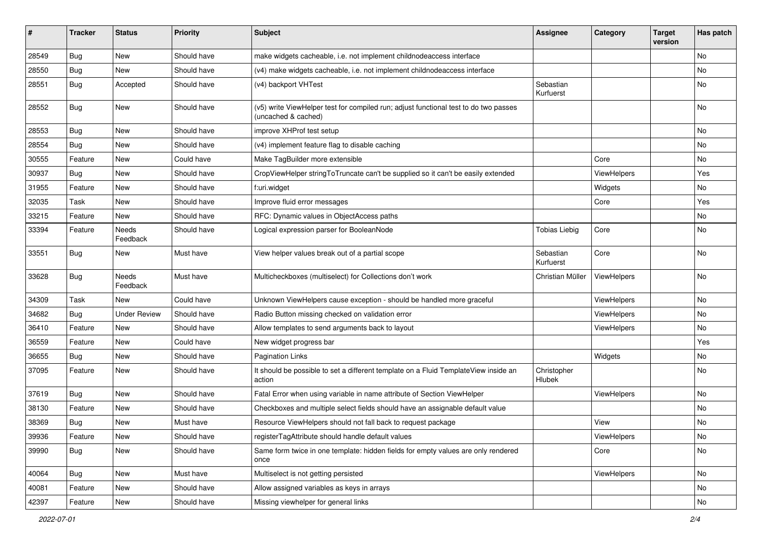| #     | <b>Tracker</b> | <b>Status</b>            | <b>Priority</b> | Subject                                                                                                     | <b>Assignee</b>        | Category    | <b>Target</b><br>version | Has patch |
|-------|----------------|--------------------------|-----------------|-------------------------------------------------------------------------------------------------------------|------------------------|-------------|--------------------------|-----------|
| 28549 | Bug            | New                      | Should have     | make widgets cacheable, i.e. not implement childnodeaccess interface                                        |                        |             |                          | <b>No</b> |
| 28550 | Bug            | New                      | Should have     | (v4) make widgets cacheable, i.e. not implement childnodeaccess interface                                   |                        |             |                          | No        |
| 28551 | Bug            | Accepted                 | Should have     | (v4) backport VHTest                                                                                        | Sebastian<br>Kurfuerst |             |                          | No        |
| 28552 | Bug            | <b>New</b>               | Should have     | (v5) write ViewHelper test for compiled run; adjust functional test to do two passes<br>(uncached & cached) |                        |             |                          | <b>No</b> |
| 28553 | Bug            | <b>New</b>               | Should have     | improve XHProf test setup                                                                                   |                        |             |                          | No        |
| 28554 | Bug            | <b>New</b>               | Should have     | (v4) implement feature flag to disable caching                                                              |                        |             |                          | No        |
| 30555 | Feature        | <b>New</b>               | Could have      | Make TagBuilder more extensible                                                                             |                        | Core        |                          | No        |
| 30937 | Bug            | New                      | Should have     | CropViewHelper stringToTruncate can't be supplied so it can't be easily extended                            |                        | ViewHelpers |                          | Yes       |
| 31955 | Feature        | New                      | Should have     | f:uri.widget                                                                                                |                        | Widgets     |                          | No        |
| 32035 | Task           | New                      | Should have     | Improve fluid error messages                                                                                |                        | Core        |                          | Yes       |
| 33215 | Feature        | <b>New</b>               | Should have     | RFC: Dynamic values in ObjectAccess paths                                                                   |                        |             |                          | No        |
| 33394 | Feature        | <b>Needs</b><br>Feedback | Should have     | Logical expression parser for BooleanNode                                                                   | <b>Tobias Liebig</b>   | Core        |                          | <b>No</b> |
| 33551 | Bug            | New                      | Must have       | View helper values break out of a partial scope                                                             | Sebastian<br>Kurfuerst | Core        |                          | <b>No</b> |
| 33628 | Bug            | Needs<br>Feedback        | Must have       | Multicheckboxes (multiselect) for Collections don't work                                                    | Christian Müller       | ViewHelpers |                          | <b>No</b> |
| 34309 | Task           | New                      | Could have      | Unknown ViewHelpers cause exception - should be handled more graceful                                       |                        | ViewHelpers |                          | <b>No</b> |
| 34682 | Bug            | <b>Under Review</b>      | Should have     | Radio Button missing checked on validation error                                                            |                        | ViewHelpers |                          | No        |
| 36410 | Feature        | <b>New</b>               | Should have     | Allow templates to send arguments back to layout                                                            |                        | ViewHelpers |                          | No        |
| 36559 | Feature        | New                      | Could have      | New widget progress bar                                                                                     |                        |             |                          | Yes       |
| 36655 | Bug            | New                      | Should have     | <b>Pagination Links</b>                                                                                     |                        | Widgets     |                          | No        |
| 37095 | Feature        | New                      | Should have     | It should be possible to set a different template on a Fluid TemplateView inside an<br>action               | Christopher<br>Hlubek  |             |                          | No        |
| 37619 | Bug            | New                      | Should have     | Fatal Error when using variable in name attribute of Section ViewHelper                                     |                        | ViewHelpers |                          | No        |
| 38130 | Feature        | New                      | Should have     | Checkboxes and multiple select fields should have an assignable default value                               |                        |             |                          | No        |
| 38369 | Bug            | New                      | Must have       | Resource ViewHelpers should not fall back to request package                                                |                        | View        |                          | No        |
| 39936 | Feature        | New                      | Should have     | registerTagAttribute should handle default values                                                           |                        | ViewHelpers |                          | No        |
| 39990 | <b>Bug</b>     | New                      | Should have     | Same form twice in one template: hidden fields for empty values are only rendered<br>once                   |                        | Core        |                          | No        |
| 40064 | <b>Bug</b>     | New                      | Must have       | Multiselect is not getting persisted                                                                        |                        | ViewHelpers |                          | No        |
| 40081 | Feature        | New                      | Should have     | Allow assigned variables as keys in arrays                                                                  |                        |             |                          | No        |
| 42397 | Feature        | New                      | Should have     | Missing viewhelper for general links                                                                        |                        |             |                          | No        |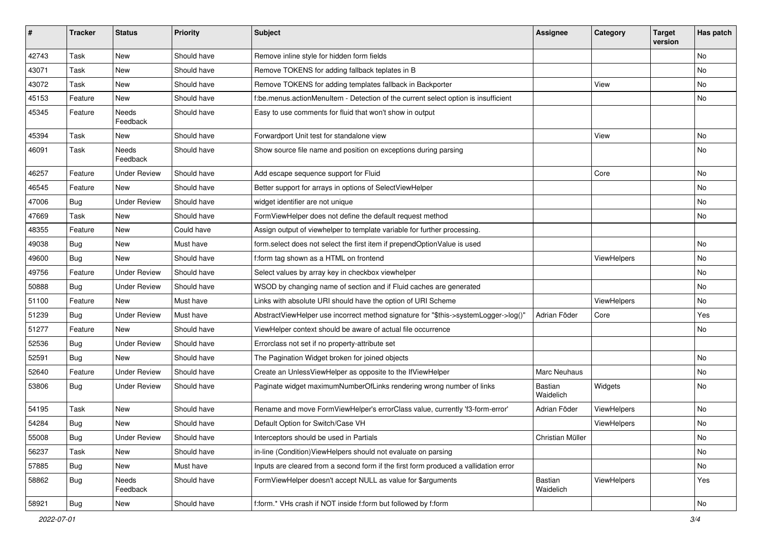| #     | <b>Tracker</b> | <b>Status</b>       | <b>Priority</b> | <b>Subject</b>                                                                       | Assignee             | Category    | <b>Target</b><br>version | Has patch     |
|-------|----------------|---------------------|-----------------|--------------------------------------------------------------------------------------|----------------------|-------------|--------------------------|---------------|
| 42743 | Task           | New                 | Should have     | Remove inline style for hidden form fields                                           |                      |             |                          | <b>No</b>     |
| 43071 | Task           | New                 | Should have     | Remove TOKENS for adding fallback teplates in B                                      |                      |             |                          | No            |
| 43072 | Task           | New                 | Should have     | Remove TOKENS for adding templates fallback in Backporter                            |                      | View        |                          | No            |
| 45153 | Feature        | <b>New</b>          | Should have     | f:be.menus.actionMenuItem - Detection of the current select option is insufficient   |                      |             |                          | No            |
| 45345 | Feature        | Needs<br>Feedback   | Should have     | Easy to use comments for fluid that won't show in output                             |                      |             |                          |               |
| 45394 | Task           | New                 | Should have     | Forwardport Unit test for standalone view                                            |                      | View        |                          | No            |
| 46091 | Task           | Needs<br>Feedback   | Should have     | Show source file name and position on exceptions during parsing                      |                      |             |                          | No            |
| 46257 | Feature        | <b>Under Review</b> | Should have     | Add escape sequence support for Fluid                                                |                      | Core        |                          | No            |
| 46545 | Feature        | New                 | Should have     | Better support for arrays in options of SelectViewHelper                             |                      |             |                          | No            |
| 47006 | Bug            | <b>Under Review</b> | Should have     | widget identifier are not unique                                                     |                      |             |                          | No            |
| 47669 | Task           | New                 | Should have     | FormViewHelper does not define the default request method                            |                      |             |                          | No            |
| 48355 | Feature        | New                 | Could have      | Assign output of viewhelper to template variable for further processing.             |                      |             |                          |               |
| 49038 | <b>Bug</b>     | New                 | Must have       | form.select does not select the first item if prependOptionValue is used             |                      |             |                          | No            |
| 49600 | Bug            | <b>New</b>          | Should have     | f:form tag shown as a HTML on frontend                                               |                      | ViewHelpers |                          | No            |
| 49756 | Feature        | <b>Under Review</b> | Should have     | Select values by array key in checkbox viewhelper                                    |                      |             |                          | No            |
| 50888 | Bug            | <b>Under Review</b> | Should have     | WSOD by changing name of section and if Fluid caches are generated                   |                      |             |                          | No            |
| 51100 | Feature        | <b>New</b>          | Must have       | Links with absolute URI should have the option of URI Scheme                         |                      | ViewHelpers |                          | No            |
| 51239 | Bug            | <b>Under Review</b> | Must have       | AbstractViewHelper use incorrect method signature for "\$this->systemLogger->log()"  | Adrian Föder         | Core        |                          | Yes           |
| 51277 | Feature        | <b>New</b>          | Should have     | ViewHelper context should be aware of actual file occurrence                         |                      |             |                          | No            |
| 52536 | Bug            | <b>Under Review</b> | Should have     | Errorclass not set if no property-attribute set                                      |                      |             |                          |               |
| 52591 | Bug            | New                 | Should have     | The Pagination Widget broken for joined objects                                      |                      |             |                          | No            |
| 52640 | Feature        | <b>Under Review</b> | Should have     | Create an UnlessViewHelper as opposite to the IfViewHelper                           | Marc Neuhaus         |             |                          | No            |
| 53806 | Bug            | <b>Under Review</b> | Should have     | Paginate widget maximumNumberOfLinks rendering wrong number of links                 | Bastian<br>Waidelich | Widgets     |                          | No            |
| 54195 | Task           | <b>New</b>          | Should have     | Rename and move FormViewHelper's errorClass value, currently 'f3-form-error'         | Adrian Föder         | ViewHelpers |                          | No            |
| 54284 | <b>Bug</b>     | New                 | Should have     | Default Option for Switch/Case VH                                                    |                      | ViewHelpers |                          | No            |
| 55008 | <b>Bug</b>     | <b>Under Review</b> | Should have     | Interceptors should be used in Partials                                              | Christian Müller     |             |                          | No            |
| 56237 | Task           | New                 | Should have     | in-line (Condition) View Helpers should not evaluate on parsing                      |                      |             |                          | No            |
| 57885 | <b>Bug</b>     | New                 | Must have       | Inputs are cleared from a second form if the first form produced a vallidation error |                      |             |                          | No            |
| 58862 | Bug            | Needs<br>Feedback   | Should have     | FormViewHelper doesn't accept NULL as value for \$arguments                          | Bastian<br>Waidelich | ViewHelpers |                          | Yes           |
| 58921 | <b>Bug</b>     | New                 | Should have     | f:form.* VHs crash if NOT inside f:form but followed by f:form                       |                      |             |                          | $\mathsf{No}$ |